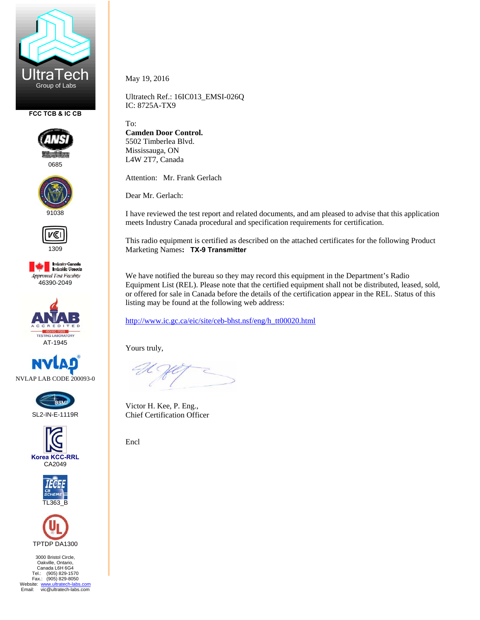

**FCC TCB & IC CB** 



0685





**Industry Canada**<br>Industrie Canada **Approved Test Facility** 46390-2049













3000 Bristol Circle, Oakville, Ontario, Canada L6H 6G4 Tel.: (905) 829-1570 Fax.: (905) 829-8050 Website: www.ultratech-labs.com<br>Email: vic@ultratech-labs.com May 19, 2016

Ultratech Ref.: 16IC013\_EMSI-026Q IC: 8725A-TX9

To:

**Camden Door Control.**  5502 Timberlea Blvd. Mississauga, ON L4W 2T7, Canada

Attention: Mr. Frank Gerlach

Dear Mr. Gerlach:

I have reviewed the test report and related documents, and am pleased to advise that this application meets Industry Canada procedural and specification requirements for certification.

This radio equipment is certified as described on the attached certificates for the following Product Marketing Names**: TX-9 Transmitter** 

We have notified the bureau so they may record this equipment in the Department's Radio Equipment List (REL). Please note that the certified equipment shall not be distributed, leased, sold, or offered for sale in Canada before the details of the certification appear in the REL. Status of this listing may be found at the following web address:

http://www.ic.gc.ca/eic/site/ceb-bhst.nsf/eng/h\_tt00020.html

Yours truly,

Victor H. Kee, P. Eng., Chief Certification Officer

Encl